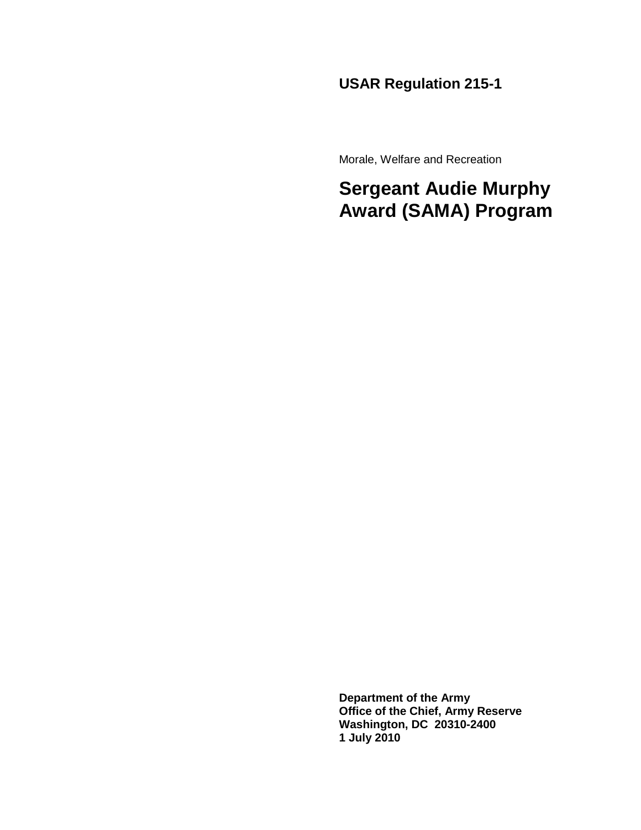## **USAR Regulation 215-1**

Morale, Welfare and Recreation

## **Sergeant Audie Murphy Award (SAMA) Program**

**Department of the Army Office of the Chief, Army Reserve Washington, DC 20310-2400 1 July 2010**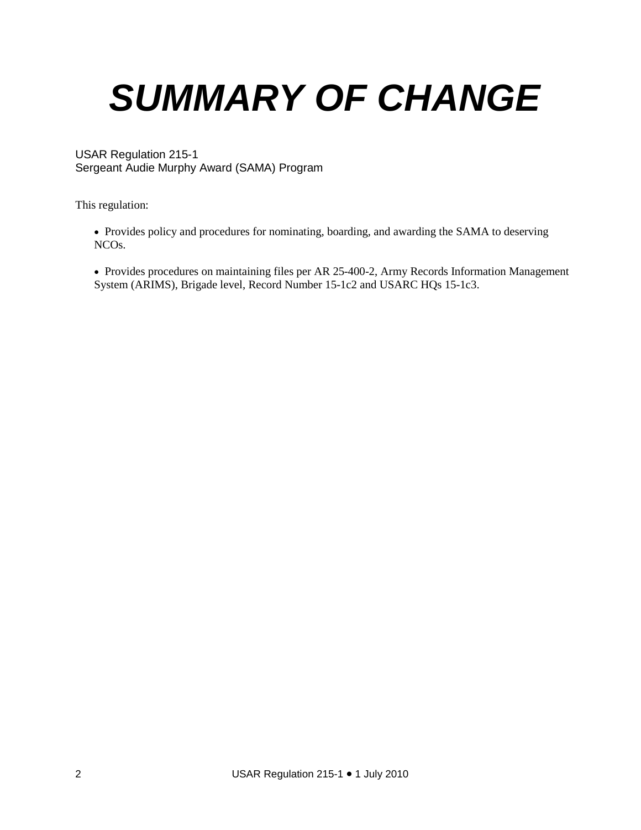# *SUMMARY OF CHANGE*

#### USAR Regulation 215-1 Sergeant Audie Murphy Award (SAMA) Program

This regulation:

• Provides policy and procedures for nominating, boarding, and awarding the SAMA to deserving NCOs.

• Provides procedures on maintaining files per AR 25-400-2, Army Records Information Management System (ARIMS), Brigade level, Record Number 15-1c2 and USARC HQs 15-1c3.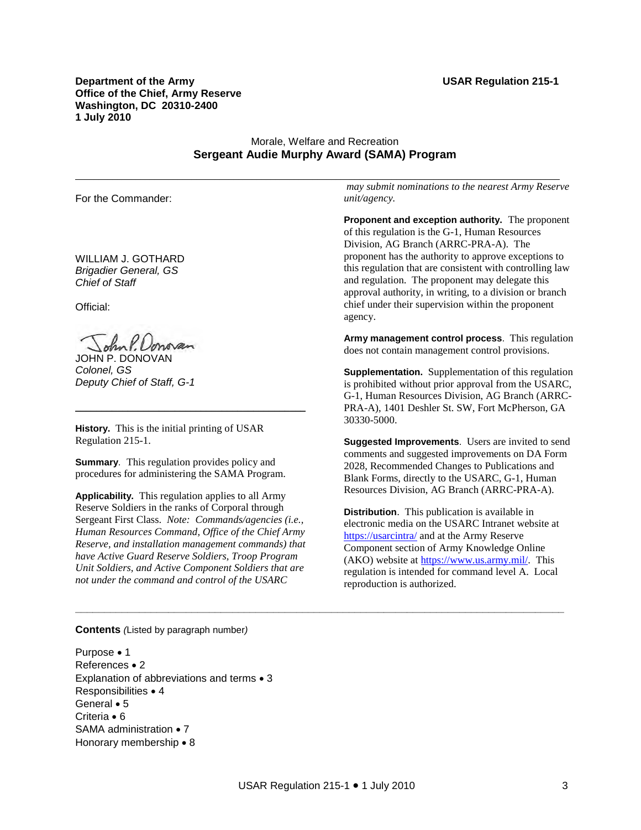**Department of the Army Construction 215-1 Construction 215-1 Construction 215-1 Construction 215-1 Construction 215-1 Construction 215-1 Construction 215-1 Construction 215-1 Construction 215-1 Construction 215-1 Construc Office of the Chief, Army Reserve Washington, DC 20310-2400 1 July 2010**

#### Morale, Welfare and Recreation **Sergeant Audie Murphy Award (SAMA) Program**

\_\_\_\_\_\_\_\_\_\_\_\_\_\_\_\_\_\_\_\_\_\_\_\_\_\_\_\_\_\_\_\_\_\_\_\_\_\_\_\_\_\_\_\_\_\_\_\_\_\_\_\_\_\_\_\_\_\_\_\_\_\_\_\_\_\_\_\_\_\_\_\_\_\_\_\_\_\_\_\_\_\_\_\_\_\_\_\_\_\_\_\_\_\_\_\_\_\_\_\_\_\_\_\_

For the Commander:

WILLIAM J. GOTHARD *Brigadier General, GS Chief of Staff*

Official:

ohn P. Donovan

JOHN P. DONOVAN *Colonel, GS Deputy Chief of Staff, G-1* 

**History.** This is the initial printing of USAR Regulation 215-1.

**Summary**. This regulation provides policy and procedures for administering the SAMA Program.

\_\_\_\_\_\_\_\_\_\_\_\_\_\_\_\_\_\_\_\_\_\_\_\_\_\_\_\_\_\_\_\_\_\_\_\_\_\_\_\_\_\_\_\_

**Applicability.** This regulation applies to all Army Reserve Soldiers in the ranks of Corporal through Sergeant First Class. *Note: Commands/agencies (i.e., Human Resources Command, Office of the Chief Army Reserve, and installation management commands) that have Active Guard Reserve Soldiers, Troop Program Unit Soldiers, and Active Component Soldiers that are not under the command and control of the USARC*

*may submit nominations to the nearest Army Reserve unit/agency.* 

**Proponent and exception authority.** The proponent of this regulation is the G-1, Human Resources Division, AG Branch (ARRC-PRA-A). The proponent has the authority to approve exceptions to this regulation that are consistent with controlling law and regulation. The proponent may delegate this approval authority, in writing, to a division or branch chief under their supervision within the proponent agency.

**Army management control process**. This regulation does not contain management control provisions.

**Supplementation.** Supplementation of this regulation is prohibited without prior approval from the USARC, G-1, Human Resources Division, AG Branch (ARRC-PRA-A), 1401 Deshler St. SW, Fort McPherson, GA 30330-5000.

**Suggested Improvements**. Users are invited to send comments and suggested improvements on DA Form 2028, Recommended Changes to Publications and Blank Forms, directly to the USARC, G-1, Human Resources Division, AG Branch (ARRC-PRA-A).

**Distribution**. This publication is available in electronic media on the USARC Intranet website at <https://usarcintra/> and at the Army Reserve Component section of Army Knowledge Online (AKO) website at [https://www.us.army.mil/.](https://www.us.army.mil/) This regulation is intended for command level A. Local reproduction is authorized.

#### **Contents** *(*Listed by paragraph number*)*

Purpose • 1 References • 2 Explanation of abbreviations and terms • 3 Responsibilities • 4 General • 5 Criteria • 6 SAMA administration • 7 Honorary membership • 8

**\_\_\_\_\_\_\_\_\_\_\_\_\_\_\_\_\_\_\_\_\_\_\_\_\_\_\_\_\_\_\_\_\_\_\_\_\_\_\_\_\_\_\_\_\_\_\_\_\_\_\_\_\_\_\_\_\_\_\_\_\_\_\_\_\_\_\_\_\_\_\_\_\_\_\_\_\_\_\_\_\_\_\_\_**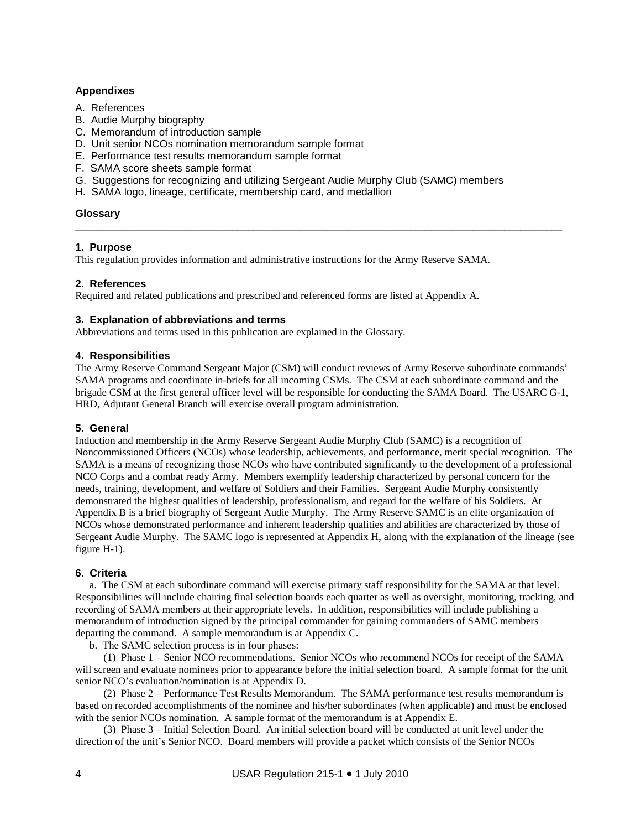#### **Appendixes**

- A. References
- B. Audie Murphy biography
- C. Memorandum of introduction sample
- D. Unit senior NCOs nomination memorandum sample format
- E. Performance test results memorandum sample format
- F. SAMA score sheets sample format
- G. Suggestions for recognizing and utilizing Sergeant Audie Murphy Club (SAMC) members
- H. SAMA logo, lineage, certificate, membership card, and medallion

#### **Glossary**

#### **1. Purpose**

This regulation provides information and administrative instructions for the Army Reserve SAMA.

#### **2. References**

Required and related publications and prescribed and referenced forms are listed at Appendix A.

#### **3. Explanation of abbreviations and terms**

Abbreviations and terms used in this publication are explained in the Glossary.

#### **4. Responsibilities**

The Army Reserve Command Sergeant Major (CSM) will conduct reviews of Army Reserve subordinate commands' SAMA programs and coordinate in-briefs for all incoming CSMs. The CSM at each subordinate command and the brigade CSM at the first general officer level will be responsible for conducting the SAMA Board. The USARC G-1, HRD, Adjutant General Branch will exercise overall program administration.

\_\_\_\_\_\_\_\_\_\_\_\_\_\_\_\_\_\_\_\_\_\_\_\_\_\_\_\_\_\_\_\_\_\_\_\_\_\_\_\_\_\_\_\_\_\_\_\_\_\_\_\_\_\_\_\_\_\_\_\_\_\_\_\_\_\_\_\_\_\_\_\_\_\_\_\_\_\_\_\_\_\_\_\_\_\_\_\_\_\_\_\_\_

#### **5. General**

Induction and membership in the Army Reserve Sergeant Audie Murphy Club (SAMC) is a recognition of Noncommissioned Officers (NCOs) whose leadership, achievements, and performance, merit special recognition. The SAMA is a means of recognizing those NCOs who have contributed significantly to the development of a professional NCO Corps and a combat ready Army. Members exemplify leadership characterized by personal concern for the needs, training, development, and welfare of Soldiers and their Families. Sergeant Audie Murphy consistently demonstrated the highest qualities of leadership, professionalism, and regard for the welfare of his Soldiers. At Appendix B is a brief biography of Sergeant Audie Murphy. The Army Reserve SAMC is an elite organization of NCOs whose demonstrated performance and inherent leadership qualities and abilities are characterized by those of Sergeant Audie Murphy. The SAMC logo is represented at Appendix H, along with the explanation of the lineage (see figure H-1).

#### **6. Criteria**

a. The CSM at each subordinate command will exercise primary staff responsibility for the SAMA at that level. Responsibilities will include chairing final selection boards each quarter as well as oversight, monitoring, tracking, and recording of SAMA members at their appropriate levels. In addition, responsibilities will include publishing a memorandum of introduction signed by the principal commander for gaining commanders of SAMC members departing the command. A sample memorandum is at Appendix C.

b. The SAMC selection process is in four phases:

 (1) Phase 1 – Senior NCO recommendations. Senior NCOs who recommend NCOs for receipt of the SAMA will screen and evaluate nominees prior to appearance before the initial selection board. A sample format for the unit senior NCO's evaluation/nomination is at Appendix D.

 (2) Phase 2 – Performance Test Results Memorandum. The SAMA performance test results memorandum is based on recorded accomplishments of the nominee and his/her subordinates (when applicable) and must be enclosed with the senior NCOs nomination. A sample format of the memorandum is at Appendix E.

 (3) Phase 3 – Initial Selection Board. An initial selection board will be conducted at unit level under the direction of the unit's Senior NCO. Board members will provide a packet which consists of the Senior NCOs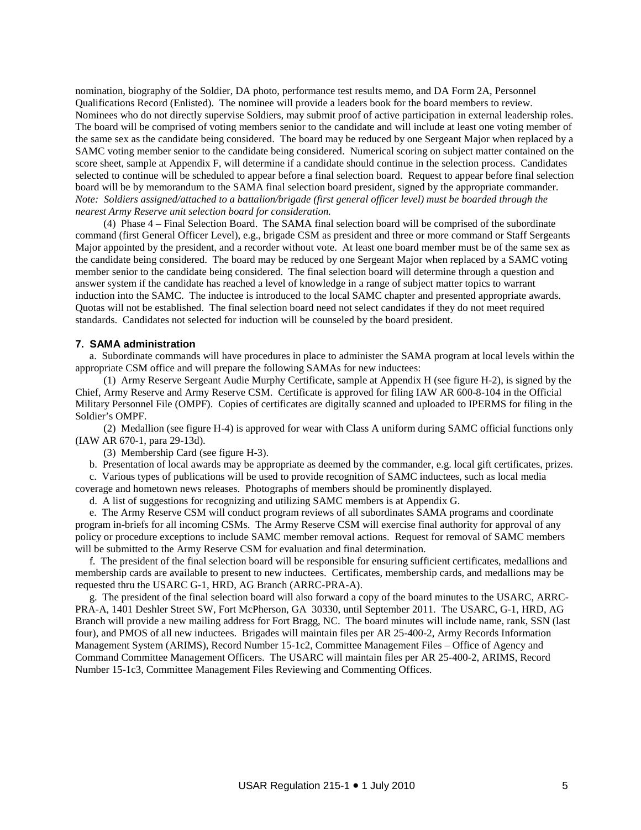nomination, biography of the Soldier, DA photo, performance test results memo, and DA Form 2A, Personnel Qualifications Record (Enlisted). The nominee will provide a leaders book for the board members to review. Nominees who do not directly supervise Soldiers, may submit proof of active participation in external leadership roles. The board will be comprised of voting members senior to the candidate and will include at least one voting member of the same sex as the candidate being considered. The board may be reduced by one Sergeant Major when replaced by a SAMC voting member senior to the candidate being considered. Numerical scoring on subject matter contained on the score sheet, sample at Appendix F, will determine if a candidate should continue in the selection process. Candidates selected to continue will be scheduled to appear before a final selection board. Request to appear before final selection board will be by memorandum to the SAMA final selection board president, signed by the appropriate commander. *Note: Soldiers assigned/attached to a battalion/brigade (first general officer level) must be boarded through the nearest Army Reserve unit selection board for consideration.*

 (4) Phase 4 – Final Selection Board. The SAMA final selection board will be comprised of the subordinate command (first General Officer Level), e.g., brigade CSM as president and three or more command or Staff Sergeants Major appointed by the president, and a recorder without vote. At least one board member must be of the same sex as the candidate being considered. The board may be reduced by one Sergeant Major when replaced by a SAMC voting member senior to the candidate being considered. The final selection board will determine through a question and answer system if the candidate has reached a level of knowledge in a range of subject matter topics to warrant induction into the SAMC. The inductee is introduced to the local SAMC chapter and presented appropriate awards. Quotas will not be established. The final selection board need not select candidates if they do not meet required standards. Candidates not selected for induction will be counseled by the board president.

#### **7. SAMA administration**

 a. Subordinate commands will have procedures in place to administer the SAMA program at local levels within the appropriate CSM office and will prepare the following SAMAs for new inductees:

 (1) Army Reserve Sergeant Audie Murphy Certificate, sample at Appendix H (see figure H-2), is signed by the Chief, Army Reserve and Army Reserve CSM. Certificate is approved for filing IAW AR 600-8-104 in the Official Military Personnel File (OMPF). Copies of certificates are digitally scanned and uploaded to IPERMS for filing in the Soldier's OMPF.

 (2) Medallion (see figure H-4) is approved for wear with Class A uniform during SAMC official functions only (IAW AR 670-1, para 29-13d).

(3) Membership Card (see figure H-3).

b. Presentation of local awards may be appropriate as deemed by the commander, e.g. local gift certificates, prizes.

 c. Various types of publications will be used to provide recognition of SAMC inductees, such as local media coverage and hometown news releases. Photographs of members should be prominently displayed.

d. A list of suggestions for recognizing and utilizing SAMC members is at Appendix G.

 e. The Army Reserve CSM will conduct program reviews of all subordinates SAMA programs and coordinate program in-briefs for all incoming CSMs. The Army Reserve CSM will exercise final authority for approval of any policy or procedure exceptions to include SAMC member removal actions. Request for removal of SAMC members will be submitted to the Army Reserve CSM for evaluation and final determination.

 f. The president of the final selection board will be responsible for ensuring sufficient certificates, medallions and membership cards are available to present to new inductees. Certificates, membership cards, and medallions may be requested thru the USARC G-1, HRD, AG Branch (ARRC-PRA-A).

 g. The president of the final selection board will also forward a copy of the board minutes to the USARC, ARRC-PRA-A, 1401 Deshler Street SW, Fort McPherson, GA 30330, until September 2011. The USARC, G-1, HRD, AG Branch will provide a new mailing address for Fort Bragg, NC. The board minutes will include name, rank, SSN (last four), and PMOS of all new inductees. Brigades will maintain files per AR 25-400-2, Army Records Information Management System (ARIMS), Record Number 15-1c2, Committee Management Files – Office of Agency and Command Committee Management Officers. The USARC will maintain files per AR 25-400-2, ARIMS, Record Number 15-1c3, Committee Management Files Reviewing and Commenting Offices.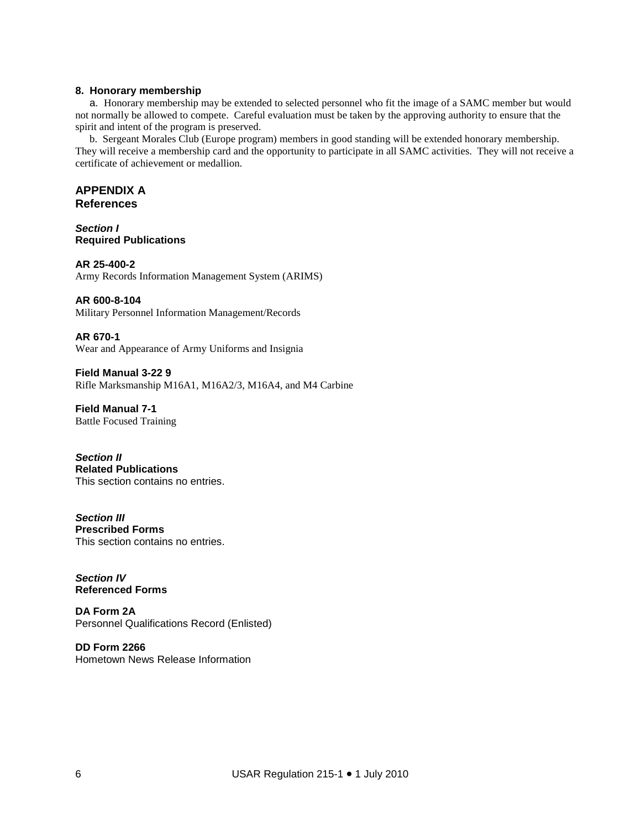#### **8. Honorary membership**

a. Honorary membership may be extended to selected personnel who fit the image of a SAMC member but would not normally be allowed to compete. Careful evaluation must be taken by the approving authority to ensure that the spirit and intent of the program is preserved.

b. Sergeant Morales Club (Europe program) members in good standing will be extended honorary membership. They will receive a membership card and the opportunity to participate in all SAMC activities. They will not receive a certificate of achievement or medallion.

#### **APPENDIX A References**

*Section I* **Required Publications**

**AR 25-400-2**  Army Records Information Management System (ARIMS)

**AR 600-8-104**

Military Personnel Information Management/Records

**AR 670-1**  Wear and Appearance of Army Uniforms and Insignia

**Field Manual 3-22 9** Rifle Marksmanship M16A1, M16A2/3, M16A4, and M4 Carbine

**Field Manual 7-1**  Battle Focused Training

*Section II* **Related Publications** This section contains no entries.

*Section III* **Prescribed Forms** This section contains no entries.

*Section IV* **Referenced Forms**

**DA Form 2A** Personnel Qualifications Record (Enlisted)

**DD Form 2266** Hometown News Release Information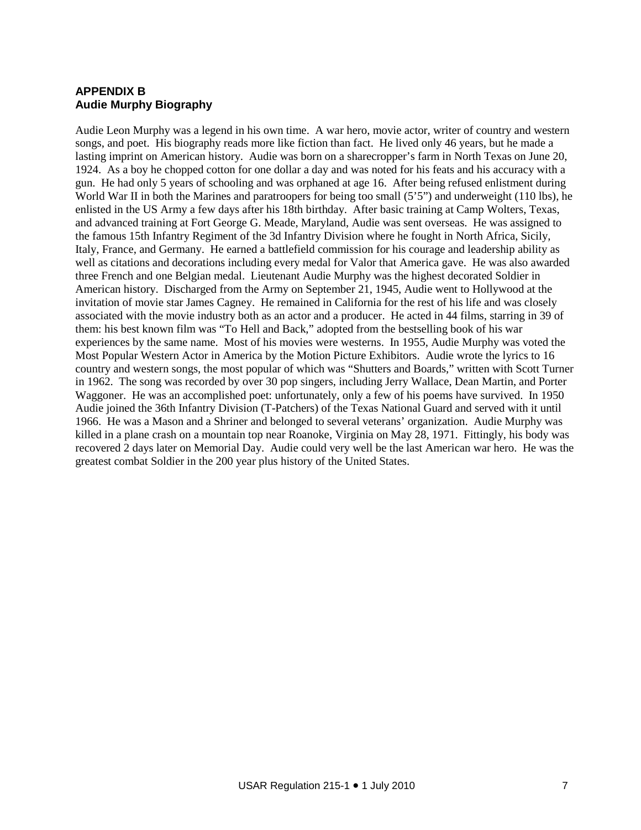### **APPENDIX B Audie Murphy Biography**

Audie Leon Murphy was a legend in his own time. A war hero, movie actor, writer of country and western songs, and poet. His biography reads more like fiction than fact. He lived only 46 years, but he made a lasting imprint on American history. Audie was born on a sharecropper's farm in North Texas on June 20, 1924. As a boy he chopped cotton for one dollar a day and was noted for his feats and his accuracy with a gun. He had only 5 years of schooling and was orphaned at age 16. After being refused enlistment during World War II in both the Marines and paratroopers for being too small (5'5") and underweight (110 lbs), he enlisted in the US Army a few days after his 18th birthday. After basic training at Camp Wolters, Texas, and advanced training at Fort George G. Meade, Maryland, Audie was sent overseas. He was assigned to the famous 15th Infantry Regiment of the 3d Infantry Division where he fought in North Africa, Sicily, Italy, France, and Germany. He earned a battlefield commission for his courage and leadership ability as well as citations and decorations including every medal for Valor that America gave. He was also awarded three French and one Belgian medal. Lieutenant Audie Murphy was the highest decorated Soldier in American history. Discharged from the Army on September 21, 1945, Audie went to Hollywood at the invitation of movie star James Cagney. He remained in California for the rest of his life and was closely associated with the movie industry both as an actor and a producer. He acted in 44 films, starring in 39 of them: his best known film was "To Hell and Back," adopted from the bestselling book of his war experiences by the same name. Most of his movies were westerns. In 1955, Audie Murphy was voted the Most Popular Western Actor in America by the Motion Picture Exhibitors. Audie wrote the lyrics to 16 country and western songs, the most popular of which was "Shutters and Boards," written with Scott Turner in 1962. The song was recorded by over 30 pop singers, including Jerry Wallace, Dean Martin, and Porter Waggoner. He was an accomplished poet: unfortunately, only a few of his poems have survived. In 1950 Audie joined the 36th Infantry Division (T-Patchers) of the Texas National Guard and served with it until 1966. He was a Mason and a Shriner and belonged to several veterans' organization. Audie Murphy was killed in a plane crash on a mountain top near Roanoke, Virginia on May 28, 1971. Fittingly, his body was recovered 2 days later on Memorial Day. Audie could very well be the last American war hero. He was the greatest combat Soldier in the 200 year plus history of the United States.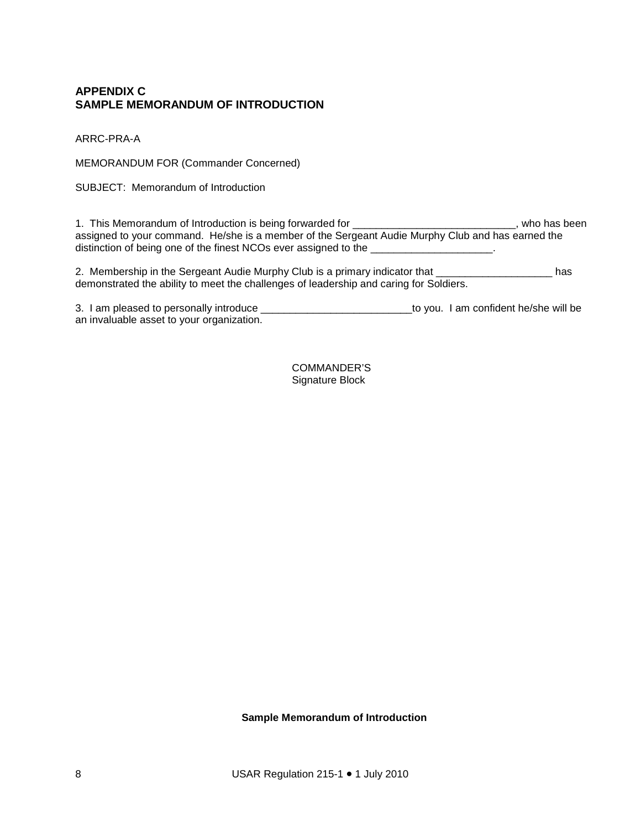#### **APPENDIX C SAMPLE MEMORANDUM OF INTRODUCTION**

ARRC-PRA-A

MEMORANDUM FOR (Commander Concerned)

SUBJECT: Memorandum of Introduction

1. This Memorandum of Introduction is being forwarded for \_\_\_\_\_\_\_\_\_\_\_\_\_\_\_\_\_\_\_\_\_\_\_\_\_\_\_\_, who has been assigned to your command. He/she is a member of the Sergeant Audie Murphy Club and has earned the distinction of being one of the finest NCOs ever assigned to the \_\_\_\_\_\_\_\_\_\_\_\_\_\_\_\_\_\_\_\_\_.

2. Membership in the Sergeant Audie Murphy Club is a primary indicator that \_\_\_\_\_\_\_\_\_\_\_\_\_\_\_\_\_\_\_ has demonstrated the ability to meet the challenges of leadership and caring for Soldiers.

3. I am pleased to personally introduce \_\_\_\_\_\_\_\_\_\_\_\_\_\_\_\_\_\_\_\_\_\_\_\_\_\_to you. I am confident he/she will be an invaluable asset to your organization.

> COMMANDER'S Signature Block

**Sample Memorandum of Introduction**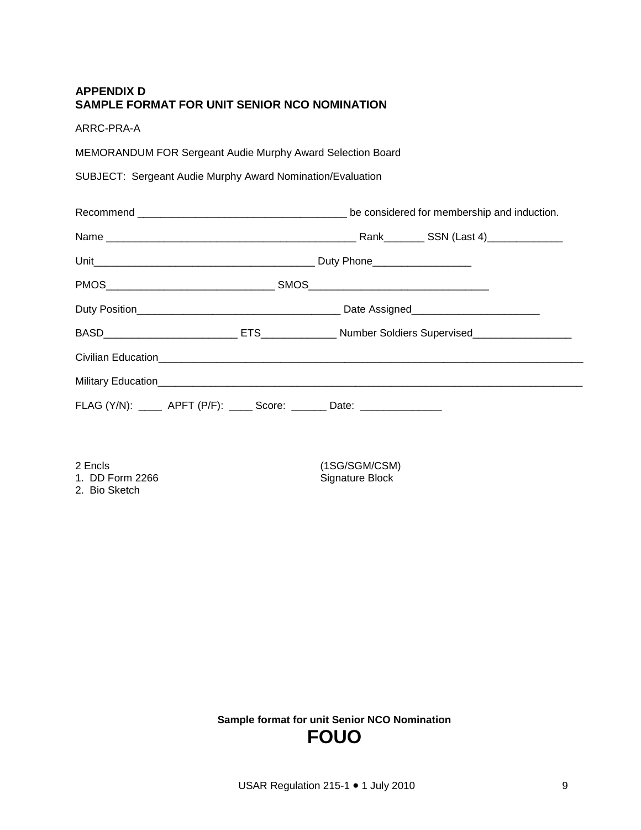#### **APPENDIX D SAMPLE FORMAT FOR UNIT SENIOR NCO NOMINATION**

ARRC-PRA-A

MEMORANDUM FOR Sergeant Audie Murphy Award Selection Board

SUBJECT: Sergeant Audie Murphy Award Nomination/Evaluation

| FLAG (Y/N): _____ APFT (P/F): _____ Score: _______ Date: ________________ |  |  |  |
|---------------------------------------------------------------------------|--|--|--|

2. Bio Sketch

2 Encls<br>
1. DD Form 2266 (1SG/SGM/CSM)<br>
2266 (1SG/Signature Block Signature Block

> **Sample format for unit Senior NCO Nomination FOUO**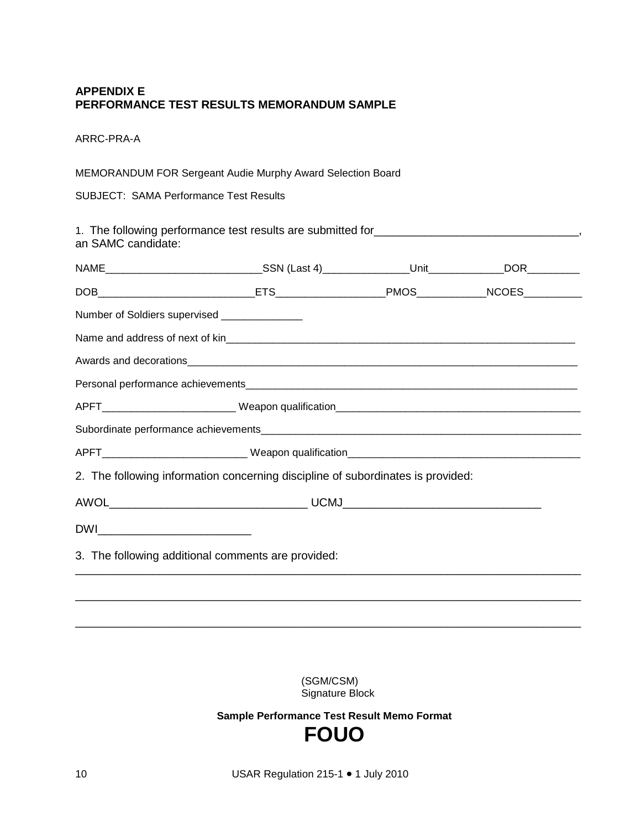#### **APPENDIX E PERFORMANCE TEST RESULTS MEMORANDUM SAMPLE**

ARRC-PRA-A

MEMORANDUM FOR Sergeant Audie Murphy Award Selection Board

SUBJECT: SAMA Performance Test Results

1. The following performance test results are submitted for\_\_\_\_\_\_\_\_\_\_\_\_\_\_\_\_\_\_\_\_\_\_\_\_\_\_\_\_\_\_\_\_, an SAMC candidate:

| 2. The following information concerning discipline of subordinates is provided: |                                               |                                                                                                     |  |  |  |
|---------------------------------------------------------------------------------|-----------------------------------------------|-----------------------------------------------------------------------------------------------------|--|--|--|
|                                                                                 |                                               |                                                                                                     |  |  |  |
|                                                                                 |                                               |                                                                                                     |  |  |  |
| 3. The following additional comments are provided:                              |                                               |                                                                                                     |  |  |  |
|                                                                                 |                                               |                                                                                                     |  |  |  |
|                                                                                 |                                               |                                                                                                     |  |  |  |
|                                                                                 | Number of Soldiers supervised _______________ | NAME________________________________SSN (Last 4)_________________Unit_______________DOR____________ |  |  |  |

(SGM/CSM) Signature Block

**Sample Performance Test Result Memo Format FOUO**

10 USAR Regulation 215-1 • 1 July 2010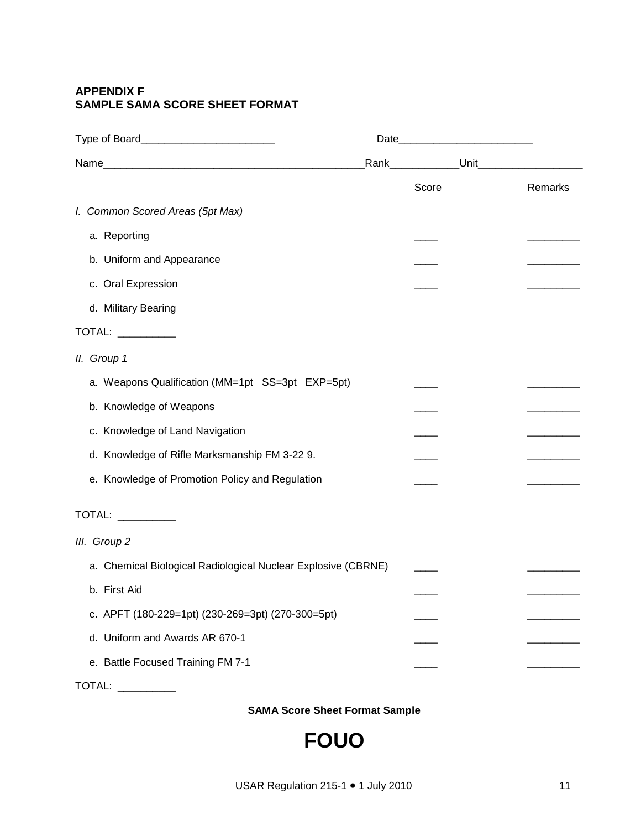### **APPENDIX F SAMPLE SAMA SCORE SHEET FORMAT**

|                                                               | Rank_____________Unit_ |         |
|---------------------------------------------------------------|------------------------|---------|
|                                                               | Score                  | Remarks |
| I. Common Scored Areas (5pt Max)                              |                        |         |
| a. Reporting                                                  |                        |         |
| b. Uniform and Appearance                                     |                        |         |
| c. Oral Expression                                            |                        |         |
| d. Military Bearing                                           |                        |         |
| TOTAL: __________                                             |                        |         |
| II. Group 1                                                   |                        |         |
| a. Weapons Qualification (MM=1pt SS=3pt EXP=5pt)              |                        |         |
| b. Knowledge of Weapons                                       |                        |         |
| c. Knowledge of Land Navigation                               |                        |         |
| d. Knowledge of Rifle Marksmanship FM 3-22 9.                 |                        |         |
| e. Knowledge of Promotion Policy and Regulation               |                        |         |
| TOTAL: __________                                             |                        |         |
| III. Group 2                                                  |                        |         |
| a. Chemical Biological Radiological Nuclear Explosive (CBRNE) |                        |         |
| b. First Aid                                                  |                        |         |
| c. APFT (180-229=1pt) (230-269=3pt) (270-300=5pt)             |                        |         |
| d. Uniform and Awards AR 670-1                                |                        |         |
| e. Battle Focused Training FM 7-1                             |                        |         |
| <b>TOTAL:</b>                                                 |                        |         |

**SAMA Score Sheet Format Sample**

**FOUO**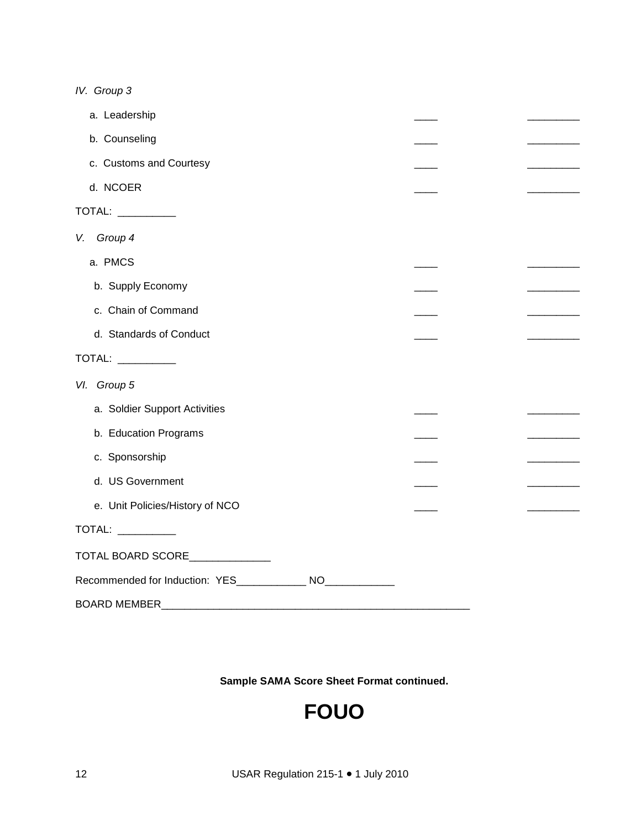*IV. Group 3*

| a. Leadership                                                 |  |  |
|---------------------------------------------------------------|--|--|
| b. Counseling                                                 |  |  |
| c. Customs and Courtesy                                       |  |  |
| d. NCOER                                                      |  |  |
| TOTAL: __________                                             |  |  |
| Group 4<br>V.                                                 |  |  |
| a. PMCS                                                       |  |  |
| b. Supply Economy                                             |  |  |
| c. Chain of Command                                           |  |  |
| d. Standards of Conduct                                       |  |  |
| TOTAL: ___________                                            |  |  |
| VI. Group 5                                                   |  |  |
| a. Soldier Support Activities                                 |  |  |
| b. Education Programs                                         |  |  |
| c. Sponsorship                                                |  |  |
| d. US Government                                              |  |  |
| e. Unit Policies/History of NCO                               |  |  |
| TOTAL: __________                                             |  |  |
| TOTAL BOARD SCORE                                             |  |  |
| Recommended for Induction: YES_______________ NO_____________ |  |  |
| <b>BOARD MEMBER</b>                                           |  |  |

**Sample SAMA Score Sheet Format continued.**

## **FOUO**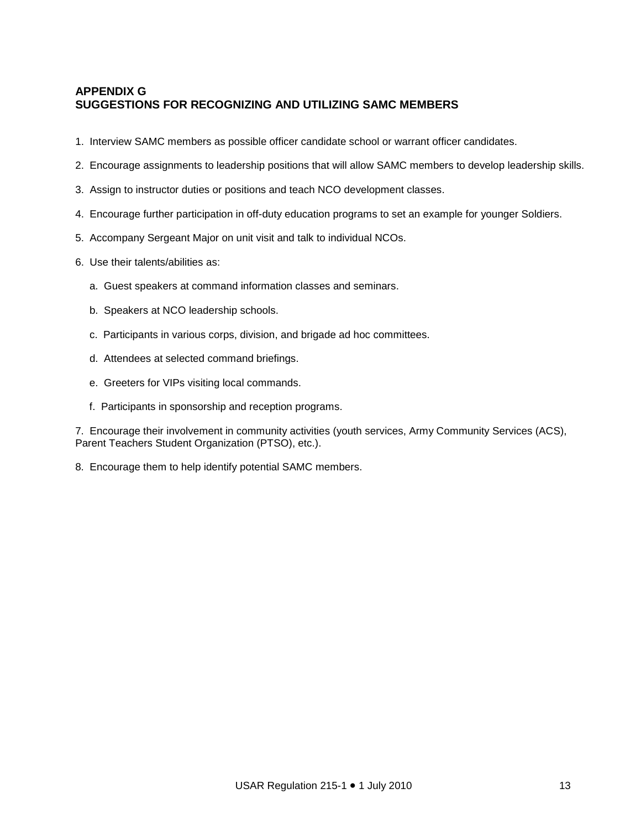### **APPENDIX G SUGGESTIONS FOR RECOGNIZING AND UTILIZING SAMC MEMBERS**

- 1. Interview SAMC members as possible officer candidate school or warrant officer candidates.
- 2. Encourage assignments to leadership positions that will allow SAMC members to develop leadership skills.
- 3. Assign to instructor duties or positions and teach NCO development classes.
- 4. Encourage further participation in off-duty education programs to set an example for younger Soldiers.
- 5. Accompany Sergeant Major on unit visit and talk to individual NCOs.
- 6. Use their talents/abilities as:
	- a. Guest speakers at command information classes and seminars.
	- b. Speakers at NCO leadership schools.
	- c. Participants in various corps, division, and brigade ad hoc committees.
	- d. Attendees at selected command briefings.
	- e. Greeters for VIPs visiting local commands.
	- f. Participants in sponsorship and reception programs.

7. Encourage their involvement in community activities (youth services, Army Community Services (ACS), Parent Teachers Student Organization (PTSO), etc.).

8. Encourage them to help identify potential SAMC members.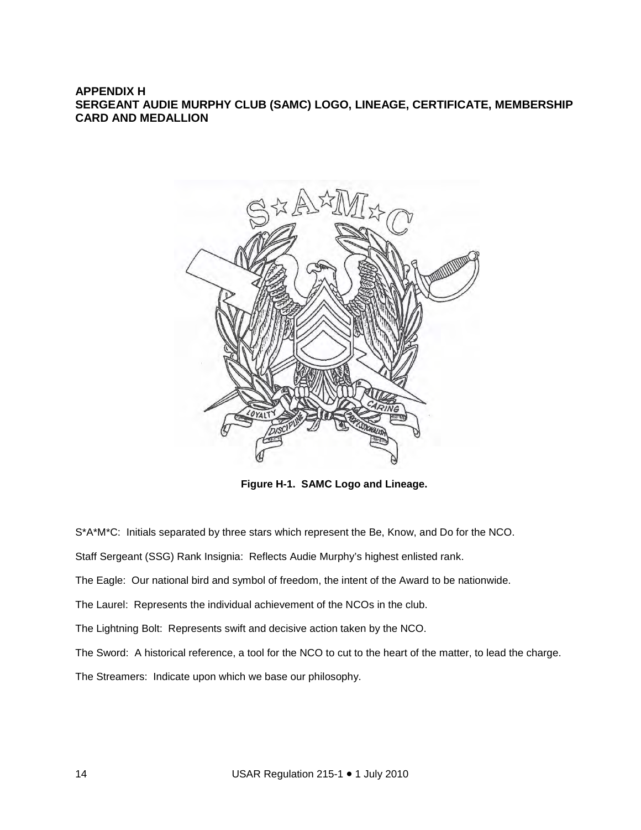#### **APPENDIX H SERGEANT AUDIE MURPHY CLUB (SAMC) LOGO, LINEAGE, CERTIFICATE, MEMBERSHIP CARD AND MEDALLION**



**Figure H-1. SAMC Logo and Lineage.**

S\*A\*M\*C: Initials separated by three stars which represent the Be, Know, and Do for the NCO.

Staff Sergeant (SSG) Rank Insignia: Reflects Audie Murphy's highest enlisted rank.

The Eagle: Our national bird and symbol of freedom, the intent of the Award to be nationwide.

The Laurel: Represents the individual achievement of the NCOs in the club.

The Lightning Bolt: Represents swift and decisive action taken by the NCO.

The Sword: A historical reference, a tool for the NCO to cut to the heart of the matter, to lead the charge.

The Streamers: Indicate upon which we base our philosophy.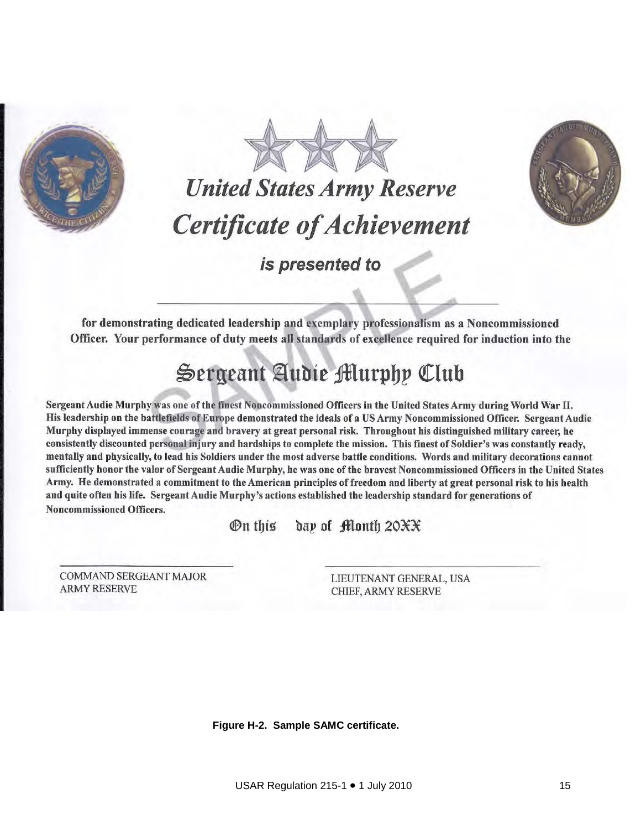





is presented to

for demonstrating dedicated leadership and exemplary professionalism as a Noncommissioned Officer. Your performance of duty meets all standards of excellence required for induction into the

## Sergeant Audie Murphy Club

Sergeant Audie Murphy was one of the finest Noncommissioned Officers in the United States Army during World War II. His leadership on the battlefields of Europe demonstrated the ideals of a US Army Noncommissioned Officer. Sergeant Audie Murphy displayed immense courage and bravery at great personal risk. Throughout his distinguished military career, he consistently discounted personal injury and hardships to complete the mission. This finest of Soldier's was constantly ready, mentally and physically, to lead his Soldiers under the most adverse battle conditions. Words and military decorations cannot sufficiently honor the valor of Sergeant Audie Murphy, he was one of the brayest Noncommissioned Officers in the United States Army. He demonstrated a commitment to the American principles of freedom and liberty at great personal risk to his health and quite often his life. Sergeant Audie Murphy's actions established the leadership standard for generations of **Noncommissioned Officers.** 

> day of Month 20XX  $\mathfrak{R}$  this

**COMMAND SERGEANT MAJOR ARMY RESERVE** 

LIEUTENANT GENERAL, USA CHIEF, ARMY RESERVE

**Figure H-2. Sample SAMC certificate.**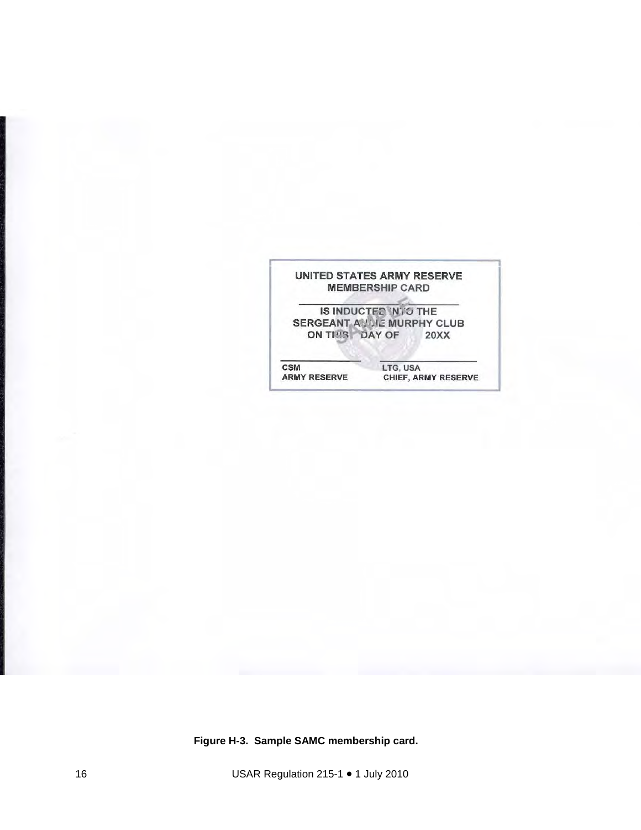

**Figure H-3. Sample SAMC membership card.**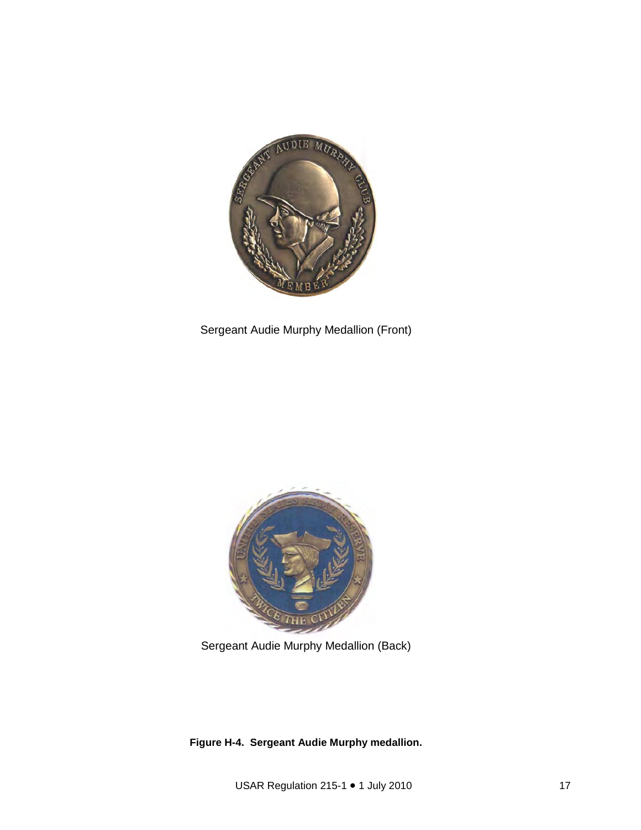

Sergeant Audie Murphy Medallion (Front)



Sergeant Audie Murphy Medallion (Back)

**Figure H-4. Sergeant Audie Murphy medallion.**